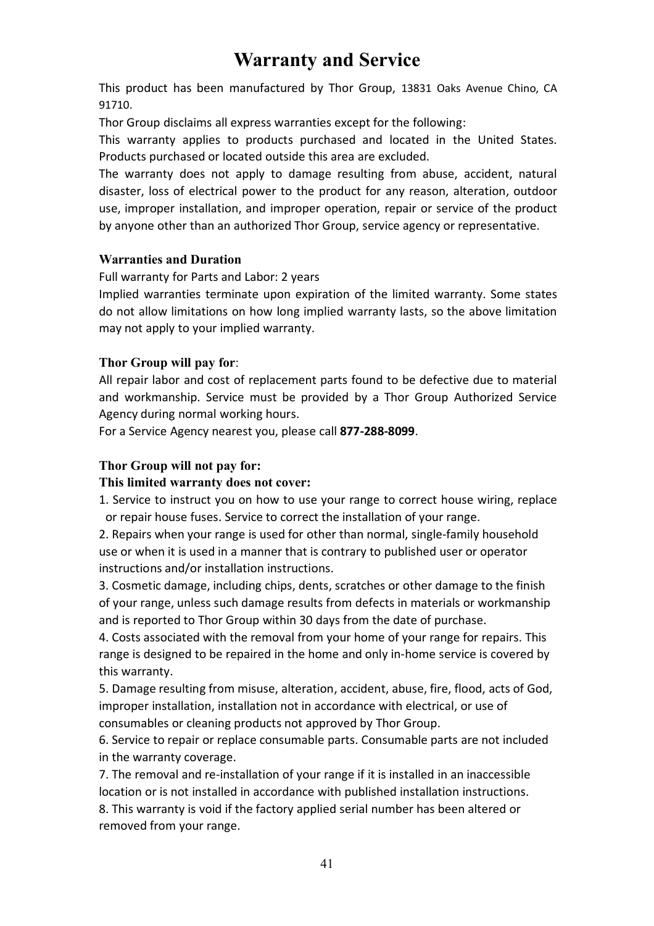# **Warranty and Service**

This product has been manufactured by Thor Group, 13831 Oaks Avenue Chino, CA 91710.

Thor Group disclaims all express warranties except for the following:

This warranty applies to products purchased and located in the United States. Products purchased or located outside this area are excluded.

The warranty does not apply to damage resulting from abuse, accident, natural disaster, loss of electrical power to the product for any reason, alteration, outdoor use, improper installation, and improper operation, repair or service of the product by anyone other than an authorized Thor Group, service agency or representative.

### **Warranties and Duration**

Full warranty for Parts and Labor: 2 years

Implied warranties terminate upon expiration of the limited warranty. Some states do not allow limitations on how long implied warranty lasts, so the above limitation may not apply to your implied warranty.

### **Thor Group will pay for**:

All repair labor and cost of replacement parts found to be defective due to material and workmanship. Service must be provided by a Thor Group Authorized Service Agency during normal working hours.

For a Service Agency nearest you, please call **877-288-8099**.

### **Thor Group will not pay for:**

#### **This limited warranty does not cover:**

1. Service to instruct you on how to use your range to correct house wiring, replace or repair house fuses. Service to correct the installation of your range.

2. Repairs when your range is used for other than normal, single-family household use or when it is used in a manner that is contrary to published user or operator instructions and/or installation instructions.

3. Cosmetic damage, including chips, dents, scratches or other damage to the finish of your range, unless such damage results from defects in materials or workmanship and is reported to Thor Group within 30 days from the date of purchase.

4. Costs associated with the removal from your home of your range for repairs. This range is designed to be repaired in the home and only in-home service is covered by this warranty.

5. Damage resulting from misuse, alteration, accident, abuse, fire, flood, acts of God, improper installation, installation not in accordance with electrical, or use of consumables or cleaning products not approved by Thor Group.

6. Service to repair or replace consumable parts. Consumable parts are not included in the warranty coverage.

7. The removal and re-installation of your range if it is installed in an inaccessible location or is not installed in accordance with published installation instructions. 8. This warranty is void if the factory applied serial number has been altered or removed from your range.